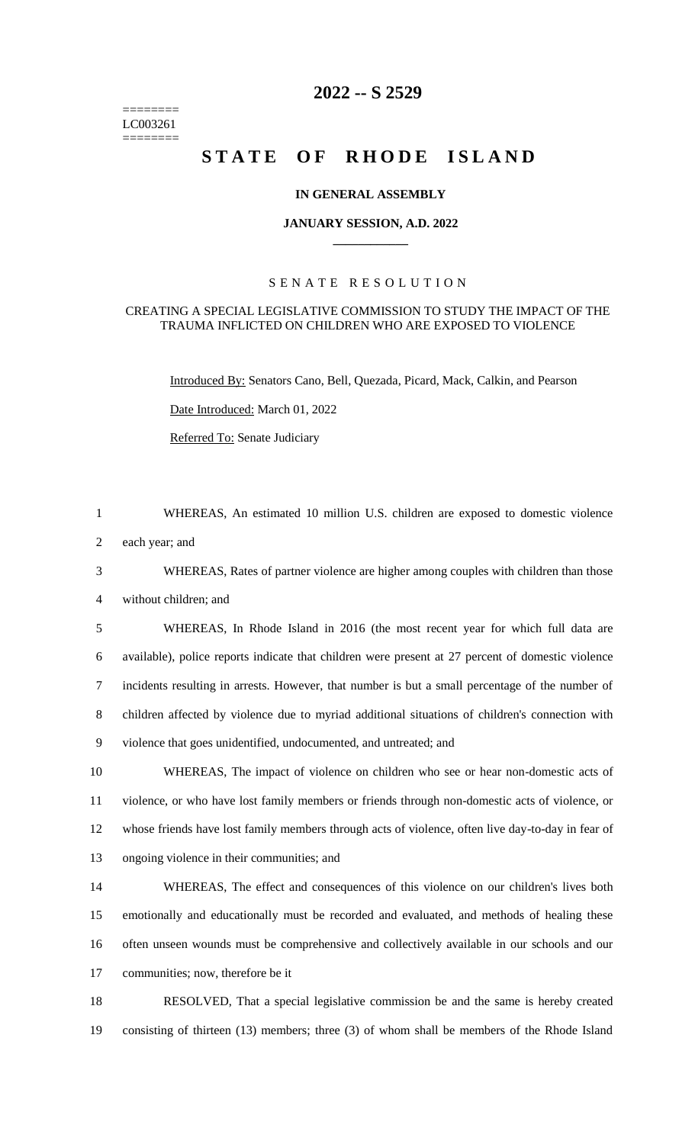======== LC003261 ========

# **-- S 2529**

# STATE OF RHODE ISLAND

## **IN GENERAL ASSEMBLY**

#### **JANUARY SESSION, A.D. 2022 \_\_\_\_\_\_\_\_\_\_\_\_**

## S E N A T E R E S O L U T I O N

#### CREATING A SPECIAL LEGISLATIVE COMMISSION TO STUDY THE IMPACT OF THE TRAUMA INFLICTED ON CHILDREN WHO ARE EXPOSED TO VIOLENCE

Introduced By: Senators Cano, Bell, Quezada, Picard, Mack, Calkin, and Pearson

Date Introduced: March 01, 2022

Referred To: Senate Judiciary

WHEREAS, An estimated 10 million U.S. children are exposed to domestic violence

each year; and

 WHEREAS, Rates of partner violence are higher among couples with children than those without children; and

 WHEREAS, In Rhode Island in 2016 (the most recent year for which full data are available), police reports indicate that children were present at 27 percent of domestic violence incidents resulting in arrests. However, that number is but a small percentage of the number of children affected by violence due to myriad additional situations of children's connection with violence that goes unidentified, undocumented, and untreated; and

 WHEREAS, The impact of violence on children who see or hear non-domestic acts of violence, or who have lost family members or friends through non-domestic acts of violence, or whose friends have lost family members through acts of violence, often live day-to-day in fear of ongoing violence in their communities; and

 WHEREAS, The effect and consequences of this violence on our children's lives both emotionally and educationally must be recorded and evaluated, and methods of healing these often unseen wounds must be comprehensive and collectively available in our schools and our communities; now, therefore be it

 RESOLVED, That a special legislative commission be and the same is hereby created consisting of thirteen (13) members; three (3) of whom shall be members of the Rhode Island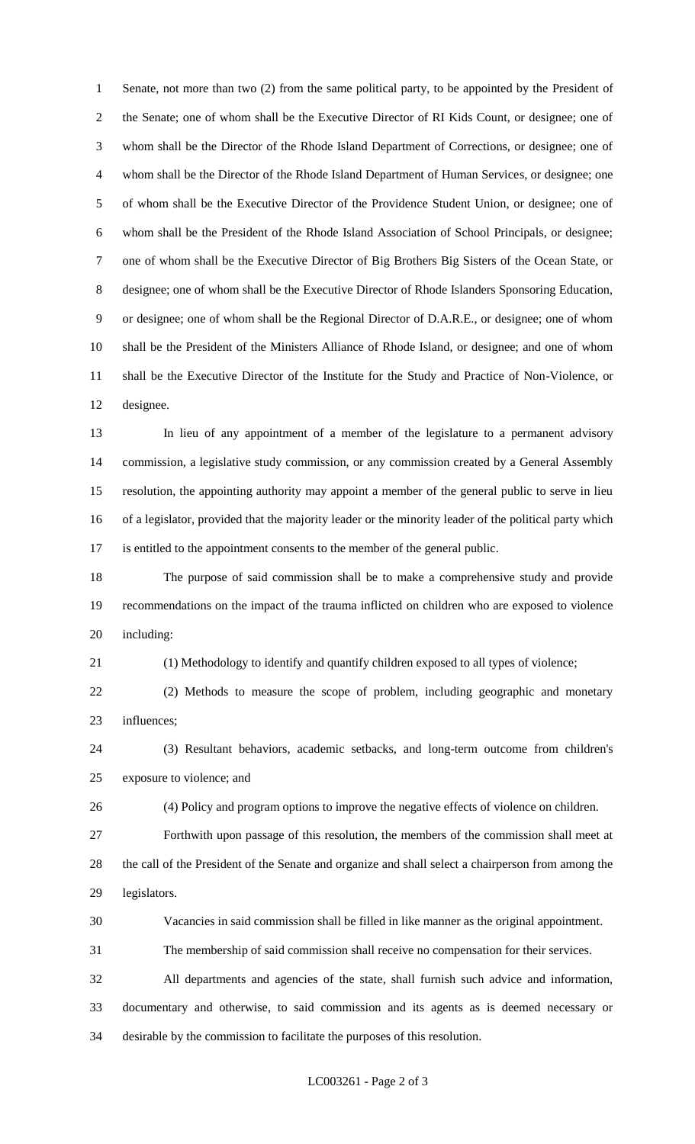Senate, not more than two (2) from the same political party, to be appointed by the President of the Senate; one of whom shall be the Executive Director of RI Kids Count, or designee; one of whom shall be the Director of the Rhode Island Department of Corrections, or designee; one of whom shall be the Director of the Rhode Island Department of Human Services, or designee; one of whom shall be the Executive Director of the Providence Student Union, or designee; one of whom shall be the President of the Rhode Island Association of School Principals, or designee; one of whom shall be the Executive Director of Big Brothers Big Sisters of the Ocean State, or designee; one of whom shall be the Executive Director of Rhode Islanders Sponsoring Education, or designee; one of whom shall be the Regional Director of D.A.R.E., or designee; one of whom shall be the President of the Ministers Alliance of Rhode Island, or designee; and one of whom shall be the Executive Director of the Institute for the Study and Practice of Non-Violence, or designee.

 In lieu of any appointment of a member of the legislature to a permanent advisory commission, a legislative study commission, or any commission created by a General Assembly resolution, the appointing authority may appoint a member of the general public to serve in lieu of a legislator, provided that the majority leader or the minority leader of the political party which is entitled to the appointment consents to the member of the general public.

 The purpose of said commission shall be to make a comprehensive study and provide recommendations on the impact of the trauma inflicted on children who are exposed to violence including:

(1) Methodology to identify and quantify children exposed to all types of violence;

 (2) Methods to measure the scope of problem, including geographic and monetary influences;

 (3) Resultant behaviors, academic setbacks, and long-term outcome from children's exposure to violence; and

(4) Policy and program options to improve the negative effects of violence on children.

 Forthwith upon passage of this resolution, the members of the commission shall meet at the call of the President of the Senate and organize and shall select a chairperson from among the legislators.

Vacancies in said commission shall be filled in like manner as the original appointment.

The membership of said commission shall receive no compensation for their services.

 All departments and agencies of the state, shall furnish such advice and information, documentary and otherwise, to said commission and its agents as is deemed necessary or desirable by the commission to facilitate the purposes of this resolution.

#### LC003261 - Page 2 of 3